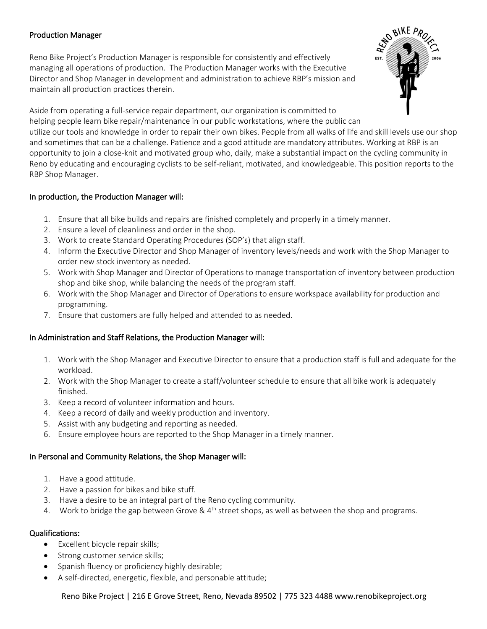## Production Manager

Reno Bike Project's Production Manager is responsible for consistently and effectively managing all operations of production. The Production Manager works with the Executive Director and Shop Manager in development and administration to achieve RBP's mission and maintain all production practices therein.



Aside from operating a full-service repair department, our organization is committed to helping people learn bike repair/maintenance in our public workstations, where the public can utilize our tools and knowledge in order to repair their own bikes. People from all walks of life and skill levels use our shop and sometimes that can be a challenge. Patience and a good attitude are mandatory attributes. Working at RBP is an opportunity to join a close-knit and motivated group who, daily, make a substantial impact on the cycling community in Reno by educating and encouraging cyclists to be self-reliant, motivated, and knowledgeable. This position reports to the RBP Shop Manager.

## In production, the Production Manager will:

- 1. Ensure that all bike builds and repairs are finished completely and properly in a timely manner.
- 2. Ensure a level of cleanliness and order in the shop.
- 3. Work to create Standard Operating Procedures (SOP's) that align staff.
- 4. Inform the Executive Director and Shop Manager of inventory levels/needs and work with the Shop Manager to order new stock inventory as needed.
- 5. Work with Shop Manager and Director of Operations to manage transportation of inventory between production shop and bike shop, while balancing the needs of the program staff.
- 6. Work with the Shop Manager and Director of Operations to ensure workspace availability for production and programming.
- 7. Ensure that customers are fully helped and attended to as needed.

# In Administration and Staff Relations, the Production Manager will:

- 1. Work with the Shop Manager and Executive Director to ensure that a production staff is full and adequate for the workload.
- 2. Work with the Shop Manager to create a staff/volunteer schedule to ensure that all bike work is adequately finished.
- 3. Keep a record of volunteer information and hours.
- 4. Keep a record of daily and weekly production and inventory.
- 5. Assist with any budgeting and reporting as needed.
- 6. Ensure employee hours are reported to the Shop Manager in a timely manner.

## In Personal and Community Relations, the Shop Manager will:

- 1. Have a good attitude.
- 2. Have a passion for bikes and bike stuff.
- 3. Have a desire to be an integral part of the Reno cycling community.
- 4. Work to bridge the gap between Grove &  $4<sup>th</sup>$  street shops, as well as between the shop and programs.

## Qualifications:

- Excellent bicycle repair skills;
- Strong customer service skills;
- Spanish fluency or proficiency highly desirable;
- A self-directed, energetic, flexible, and personable attitude;

Reno Bike Project | 216 E Grove Street, Reno, Nevada 89502 | 775 323 4488 www.renobikeproject.org